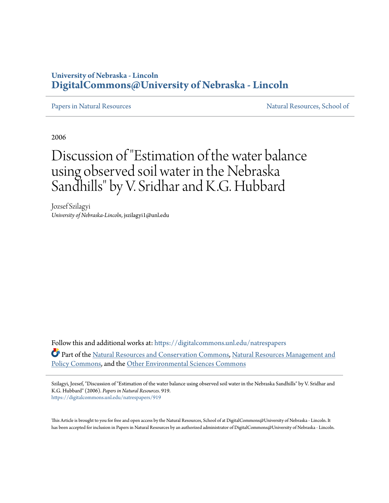## **University of Nebraska - Lincoln [DigitalCommons@University of Nebraska - Lincoln](https://digitalcommons.unl.edu?utm_source=digitalcommons.unl.edu%2Fnatrespapers%2F919&utm_medium=PDF&utm_campaign=PDFCoverPages)**

[Papers in Natural Resources](https://digitalcommons.unl.edu/natrespapers?utm_source=digitalcommons.unl.edu%2Fnatrespapers%2F919&utm_medium=PDF&utm_campaign=PDFCoverPages) and Security and Security and Security [Natural Resources, School of](https://digitalcommons.unl.edu/natres?utm_source=digitalcommons.unl.edu%2Fnatrespapers%2F919&utm_medium=PDF&utm_campaign=PDFCoverPages)

2006

# Discussion of "Estimation of the water balance using observed soil water in the Nebraska Sandhills" by V. Sridhar and K.G. Hubbard

Jozsef Szilagyi *University of Nebraska-Lincoln*, jszilagyi1@unl.edu

Follow this and additional works at: [https://digitalcommons.unl.edu/natrespapers](https://digitalcommons.unl.edu/natrespapers?utm_source=digitalcommons.unl.edu%2Fnatrespapers%2F919&utm_medium=PDF&utm_campaign=PDFCoverPages) Part of the [Natural Resources and Conservation Commons,](http://network.bepress.com/hgg/discipline/168?utm_source=digitalcommons.unl.edu%2Fnatrespapers%2F919&utm_medium=PDF&utm_campaign=PDFCoverPages) [Natural Resources Management and](http://network.bepress.com/hgg/discipline/170?utm_source=digitalcommons.unl.edu%2Fnatrespapers%2F919&utm_medium=PDF&utm_campaign=PDFCoverPages) [Policy Commons](http://network.bepress.com/hgg/discipline/170?utm_source=digitalcommons.unl.edu%2Fnatrespapers%2F919&utm_medium=PDF&utm_campaign=PDFCoverPages), and the [Other Environmental Sciences Commons](http://network.bepress.com/hgg/discipline/173?utm_source=digitalcommons.unl.edu%2Fnatrespapers%2F919&utm_medium=PDF&utm_campaign=PDFCoverPages)

Szilagyi, Jozsef, "Discussion of "Estimation of the water balance using observed soil water in the Nebraska Sandhills" by V. Sridhar and K.G. Hubbard" (2006). *Papers in Natural Resources*. 919. [https://digitalcommons.unl.edu/natrespapers/919](https://digitalcommons.unl.edu/natrespapers/919?utm_source=digitalcommons.unl.edu%2Fnatrespapers%2F919&utm_medium=PDF&utm_campaign=PDFCoverPages)

This Article is brought to you for free and open access by the Natural Resources, School of at DigitalCommons@University of Nebraska - Lincoln. It has been accepted for inclusion in Papers in Natural Resources by an authorized administrator of DigitalCommons@University of Nebraska - Lincoln.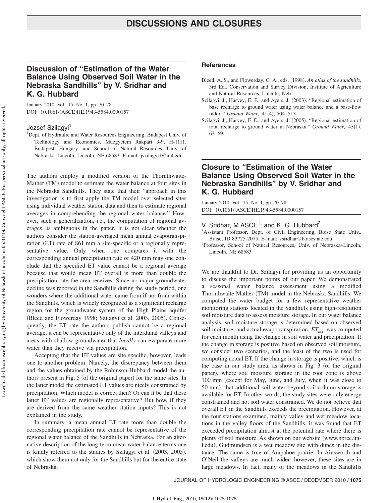## **Discussion of "Estimation of the Water Balance Using Observed Soil Water in the Nebraska Sandhills" by V. Sridhar and K. G. Hubbard**

January 2010, Vol. 15, No. 1, pp. 70–78. DOI: 10.1061/(ASCE)HE.1943-5584.0000157

#### Jozsef Szilagyi<sup>1</sup>

<sup>1</sup>Dept. of Hydraulic and Water Resources Engineering, Budapest Univ. of Technology and Economics, Muegyetem Rakpart 3-9, H-1111, Budapest, Hungary; and School of Natural Resources, Univ. of Nebraska–Lincoln, Lincoln, NE 68583. E-mail: jszilagyi1@unl.edu

The authors employ a modified version of the Thornthwaite-Mather (TM) model to estimate the water balance at four sites in the Nebraska Sandhills. They state that their "approach in this investigation is to first apply the TM model over selected sites using individual weather station data and then to estimate regional averages in comprehending the regional water balance." However, such a generalization, i.e., the computation of regional averages, is ambiguous in the paper. It is not clear whether the authors consider the station-averaged mean annual evapotranspiration (ET) rate of 861 mm a site-specific or a regionally representative value. Only when one compares it with the corresponding annual precipitation rate of 420 mm may one conclude that the specified ET value cannot be a regional average because that would mean ET overall is more than double the precipitation rate the area receives. Since no major groundwater decline was reported in the Sandhills during the study period, one wonders where the additional water came from if not from within the Sandhills, which is widely recognized as a significant recharge region for the groundwater system of the High Plains aquifer (Bleed and Flowerday 1998; Szilagyi et al. 2003, 2005). Consequently, the ET rate the authors publish cannot be a regional average, it can be representative only of the interdunal valleys and areas with shallow groundwater that *locally* can evaporate more water than they receive via precipitation.

Accepting that the ET values are site specific, however, leads one to another problem. Namely, the discrepancy between them and the values obtained by the Robinson-Hubbard model the authors present in Fig. 5 (of the original paper) for the same sites. In the latter model the estimated ET values are nicely constrained by precipitation. Which model is correct then? Or can it be that these latter ET values are regionally representative? But how, if they are derived from the same weather station inputs? This is not explained in the study.

In summary, a mean annual ET rate more than double the corresponding precipitation rate cannot be representative of the regional water balance of the Sandhills in Nebraska. For an alternative description of the long-term mean water balance terms one is kindly referred to the studies by Szilagyi et al. (2003, 2005), which show them not only for the Sandhills but for the entire state of Nebraska.

#### **References**

- Bleed, A. S., and Flowerday, C. A., eds. (1998). An atlas of the sandhills, 3rd Ed., Conservation and Survey Division, Institute of Agriculture and Natural Resources, Lincoln, Neb.
- Szilagyi, J., Harvey, E. F., and Ayers, J. (2003). "Regional estimation of base recharge to ground water using water balance and a base-flow index." *Ground Water*, 41(4), 504-513.
- Szilagyi, J., Harvey, F. E., and Ayers, J. (2005). "Regional estimation of total recharge to ground water in Nebraska." Ground Water, 43(1), 63–69.

## **Closure to "Estimation of the Water Balance Using Observed Soil Water in the Nebraska Sandhills" by V. Sridhar and K. G. Hubbard**

January 2010, Vol. 15, No. 1, pp. 70–78. DOI: 10.1061/(ASCE)HE.1943-5584.0000157

V. Sridhar, M.ASCE<sup>1</sup>; and K. G. Hubbard<sup>2</sup>

<sup>1</sup>Assistant Professor, Dept. of Civil Engineering, Boise State Univ., Boise, ID 83725-2075. E-mail: vsridhar@boisestate.edu <sup>2</sup>

<sup>2</sup>Professor, School of Natural Resources, Univ. of Nebraska–Lincoln, Lincoln, NE 68583

We are thankful to Dr. Szilagyi for providing us an opportunity to discuss the important points of our paper. We demonstrated a seasonal water balance assessment using a modified Thornthwaite-Mather (TM) model in the Nebraska Sandhills. We computed the water budget for a few representative weather monitoring stations located in the Sandhills using high-resolution soil moisture data to assess moisture storage. In our water balance analysis, soil moisture storage is determined based on observed soil moisture, and actual evapotranspiration,  $ET_{act}$ , was computed for each month using the change in soil water and precipitation. If the change in storage is positive based on observed soil moisture, we consider two scenarios, and the least of the two is used for computing actual ET. If the change in storage is positive, which is the case in our study area, as shown in Fig. 3 (of the original paper), where soil moisture storage in the root zone is above 100 mm (except for May, June, and July, when it was close to 50 mm), that additional soil water beyond soil column storage is available for ET. In other words, the study sites were only energy constrained and not soil water constrained. We do not believe that overall ET in the Sandhills exceeds the precipitation. However, at the four stations examined, mainly valley and wet meadow locations in the valley floors of the Sandhills, it was found that ET exceeded precipitation almost at the potential rate where there is plenty of soil moisture. As shown on our website (www.hprcc.unl.edu), Gudmundsen is a wet meadow site with dunes in the distance. The same is true of Arapahoe prairie. In Ainsworth and O'Neil the valleys are much wider; however, these sites are in large meadows. In fact, many of the meadows in the Sandhills

JOURNAL OF HYDROLOGIC ENGINEERING © ASCE / DECEMBER 2010 / **1075**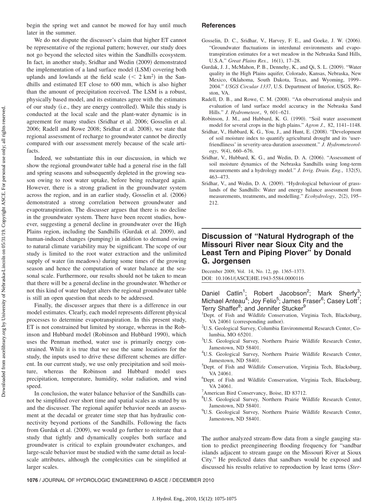begin the spring wet and cannot be mowed for hay until much later in the summer.

We do not dispute the discusser's claim that higher ET cannot be representative of the regional pattern; however, our study does not go beyond the selected sites within the Sandhills ecosystem. In fact, in another study, Sridhar and Wedin (2009) demonstrated the implementation of a land surface model (LSM) covering both uplands and lowlands at the field scale  $(< 2 \text{ km}^2)$  in the Sandhills and estimated ET close to 600 mm, which is also higher than the amount of precipitation received. The LSM is a robust, physically based model, and its estimates agree with the estimates of our study (i.e., they are energy controlled). While this study is conducted at the local scale and the plant-water dynamic is in agreement for many studies (Sridhar et al. 2006; Gosselin et al. 2006; Radell and Rowe 2008; Sridhar et al. 2008), we state that regional assessment of recharge to groundwater cannot be directly compared with our assessment merely because of the scale artifacts.

Indeed, we substantiate this in our discussion, in which we show the regional groundwater table had a general rise in the fall and spring seasons and subsequently depleted in the growing season owing to root water uptake, before being recharged again. However, there is a strong gradient in the groundwater system across the region, and in an earlier study, Gosselin et al. (2006) demonstrated a strong correlation between groundwater and evapotranspiration. The discusser argues that there is no decline in the groundwater system. There have been recent studies, however, suggesting a general decline in groundwater over the High Plains region, including the Sandhills (Gurdak et al. 2009), and human-induced changes (pumping) in addition to demand owing to natural climate variability may be significant. The scope of our study is limited to the root water extraction and the unlimited supply of water (in meadows) during some times of the growing season and hence the computation of water balance at the seasonal scale. Furthermore, our results should not be taken to mean that there will be a general decline in the groundwater. Whether or not this kind of water budget alters the regional groundwater table is still an open question that needs to be addressed.

Finally, the discusser argues that there is a difference in our model estimates. Clearly, each model represents different physical processes to determine evapotranspiration. In this present study, ET is not constrained but limited by storage, whereas in the Robinson and Hubbard model (Robinson and Hubbard 1990), which uses the Penman method, water use is primarily energy constrained. While it is true that we use the same locations for the study, the inputs used to drive these different schemes are different. In our current study, we use only precipitation and soil moisture, whereas the Robinson and Hubbard model uses precipitation, temperature, humidity, solar radiation, and wind speed.

In conclusion, the water balance behavior of the Sandhills cannot be simplified over short time and spatial scales as stated by us and the discusser. The regional aquifer behavior needs an assessment at the decadal or greater time step that has hydraulic connectivity beyond portions of the Sandhills. Following the facts from Gurdak et al. (2009), we would go further to reiterate that a study that tightly and dynamically couples both surface and groundwater is critical to explain groundwater exchanges, and large-scale behavior must be studied with the same detail as localscale attributes, although the complexities can be simplified at larger scales.

#### **References**

- Gosselin, D. C., Sridhar, V., Harvey, F. E., and Goeke, J. W. (2006). "Groundwater fluctuations in interdunal environments and evapotranspiration estimates for a wet meadow in the Nebraska Sand Hills, U.S.A." *Great Plains Res.*, 16(1), 17-28.
- Gurdak, J. J., McMahon, P. B., Dennehy, K., and Qi, S. L. (2009). "Water quality in the High Plains aquifer, Colorado, Kansas, Nebraska, New Mexico, Oklahoma, South Dakota, Texas, and Wyoming, 1999– 2004." *USGS Circular 1337*, U.S. Department of Interior, USGS, Reston, VA.
- Radell, D. B., and Rowe, C. M. (2008). "An observational analysis and evaluation of land surface model accuracy in the Nebraska Sand Hills." *J. Hydrometeor.*, 9, 601–621.
- Robinson, J. M., and Hubbard, K. G. (1990). "Soil water assessment model for several crops in the high plains." *Agron J.*, 82, 1141–1148.
- Sridhar, V., Hubbard, K. G., You, J., and Hunt, E. (2008). "Development of soil moisture index to quantify agricultural drought and its 'userfriendliness' in severity-area-duration assessment." *J. Hydrometeorology*, 9(4), 660–676.
- Sridhar, V., Hubbard, K. G., and Wedin, D. A. (2006). "Assessment of soil moisture dynamics of the Nebraska Sandhills using long-term measurements and a hydrology model." *J. Irrig. Drain. Eng.*, 132(5), 463–473.
- Sridhar, V., and Wedin, D. A. (2009). "Hydrological behaviour of grasslands of the Sandhills: Water and energy balance assessment from measurements, treatments, and modelling." *Ecohydrology*, 2(2), 195– 212.

## **Discussion of "Natural Hydrograph of the Missouri River near Sioux City and the Least Tern and Piping Plover" by Donald G. Jorgensen**

December 2009, Vol. 14, No. 12, pp. 1365–1373. DOI: 10.1061/(ASCE)HE.1943-5584.0000116

Daniel Catlin<sup>1</sup>; Robert Jacobson<sup>2</sup>; Mark Sherfy<sup>3</sup>; Michael Anteau<sup>4</sup>; Joy Felio<sup>5</sup>; James Fraser<sup>6</sup>; Casey Lott<sup>7</sup>; Terry Shaffer<sup>8</sup>; and Jennifer Stucker<sup>9</sup>

- <sup>1</sup>Dept. of Fish and Wildlife Conservation, Virginia Tech, Blacksburg, VA 24061 (corresponding author).
- <sup>2</sup>U.S. Geological Survey, Columbia Environmental Research Center, Columbia, MO 65201. <sup>3</sup>
- <sup>3</sup>U.S. Geological Survey, Northern Prairie Wildlife Research Center, Jamestown, ND 58401. <sup>4</sup>
- <sup>4</sup>U.S. Geological Survey, Northern Prairie Wildlife Research Center, Jamestown, ND 58401.
- ${}^{5}$ Dept. of Fish and Wildlife Conservation, Virginia Tech, Blacksburg, VA 24061.
- <sup>6</sup>Dept. of Fish and Wildlife Conservation, Virginia Tech, Blacksburg, VA 24061.
- <sup>7</sup>American Bird Conservancy, Boise, ID 83712.
- 8 U.S. Geological Survey, Northern Prairie Wildlife Research Center, Jamestown, ND 58401.
- <sup>9</sup>U.S. Geological Survey, Northern Prairie Wildlife Research Center, Jamestown, ND 58401.

The author analyzed stream-flow data from a single gauging station to predict preengineering flooding frequency for "sandbar islands adjacent to stream gauge on the Missouri River at Sioux City." He predicted dates that sandbars would be exposed and discussed his results relative to reproduction by least terns *Ster-*

**1076** / JOURNAL OF HYDROLOGIC ENGINEERING © ASCE / DECEMBER 2010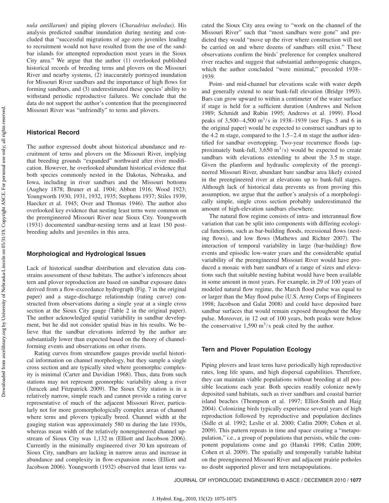nula antillarum) and piping plovers *(Charadrius melodus)*. His analysis predicted sandbar inundation during nesting and concluded that "successful migrations of age-zero juveniles leading to recruitment would not have resulted from the use of the sandbar islands for attempted reproduction most years in the Sioux City area." We argue that the author  $(1)$  overlooked published historical records of breeding terns and plovers on the Missouri River and nearby systems, (2) inaccurately portrayed inundation for Missouri River sandbars and the importance of high flows for forming sandbars, and (3) underestimated these species' ability to withstand periodic reproductive failures. We conclude that the data do not support the author's contention that the preengineered Missouri River was "unfriendly" to terns and plovers.

### **Historical Record**

The author expressed doubt about historical abundance and recruitment of terns and plovers on the Missouri River, implying that breeding grounds "expanded" northward after river modification. However, he overlooked abundant historical evidence that both species commonly nested in the Dakotas, Nebraska, and Iowa, including in river sandbars and the Missouri bottoms Aughey 1878; Bruner et al. 1904; Abbott 1916; Wood 1923; Youngworth 1930, 1931, 1932, 1935; Stephens 1937; Stiles 1939; Haecker et al. 1945; Over and Thomas 1946). The author also overlooked key evidence that nesting least terns were common on the preengineered Missouri River near Sioux City. Youngworth (1931) documented sandbar-nesting terns and at least 150 postbreeding adults and juveniles in this area.

#### **Morphological and Hydrological Issues**

Lack of historical sandbar distribution and elevation data constrains assessment of these habitats. The author's inferences about tern and plover reproduction are based on sandbar exposure dates derived from a flow-exceedance hydrograph (Fig. 7 in the original paper) and a stage-discharge relationship (rating curve) constructed from observations during a single year at a single cross section at the Sioux City gauge (Table 2 in the original paper). The author acknowledged spatial variability in sandbar development, but he did not consider spatial bias in his results. We believe that the sandbar elevations inferred by the author are substantially lower than expected based on the theory of channelforming events and observations on other rivers.

Rating curves from streamflow gauges provide useful historical information on channel morphology, but they sample a single cross section and are typically sited where geomorphic complexity is minimal (Carter and Davidian 1968). Thus, data from such stations may not represent geomorphic variability along a river (Juracek and Fitzpatrick 2009). The Sioux City station is in a relatively narrow, simple reach and cannot provide a rating curve representative of much of the adjacent Missouri River, particularly not for more geomorphologically complex areas of channel where terns and plovers typically breed. Channel width at the gauging station was approximately 580 m during the late 1930s, whereas mean width of the relatively nonengineered channel upstream of Sioux City was 1,132 m (Elliott and Jacobson 2006). Currently in the minimally engineered river 30 km upstream of Sioux City, sandbars are lacking in narrow areas and increase in abundance and complexity in flow-expansion zones (Elliott and Jacobson 2006). Youngworth (1932) observed that least terns vacated the Sioux City area owing to "work on the channel of the Missouri River" such that "most sandbars were gone" and predicted they would "move up the river where construction will not be carried on and where dozens of sandbars still exist." These observations confirm the birds' preference for complex unaltered river reaches and suggest that substantial anthropogenic changes, which the author concluded "were minimal," preceded 1938– 1939.

Point- and mid-channel bar elevations scale with water depth and generally extend to near bank-full elevation (Bridge 1993). Bars can grow upward to within a centimeter of the water surface if stage is held for a sufficient duration (Andrews and Nelson 1989; Schmidt and Rubin 1995; Andrews et al. 1999). Flood peaks of  $3,500-4,500$  m<sup>3</sup>/s in 1938–1939 (see Figs. 5 and 6 in the original paper) would be expected to construct sandbars up to the 4.2 m stage, compared to the 1.5–2.4 m stage the author identified for sandbar overtopping. Two-year recurrence floods (approximately bank-full,  $3,650 \text{ m}^3/\text{s}$ ) would be expected to create sandbars with elevations extending to about the 3.5 m stage. Given the planform and hydraulic complexity of the preengineered Missouri River, abundant bare sandbar area likely existed in the preengineered river at elevations up to bank-full stages. Although lack of historical data prevents us from proving this assumption, we argue that the author's analysis of a morphologically simple, single cross section probably underestimated the amount of high-elevation sandbars elsewhere.

The natural flow regime consists of intra- and interannual flow variation that can be split into components with differing ecological functions, such as bar-building floods, recessional flows (nesting flows), and low flows (Mathews and Richter 2007). The interaction of temporal variability in large (bar-building) flow events and episodic low-water years and the considerable spatial variability of the preengineered Missouri River would have produced a mosaic with bare sandbars of a range of sizes and elevations such that suitable nesting habitat would have been available in some amount in most years. For example, in 29 of 100 years of modeled natural flow regime, the March flood pulse was equal to or larger than the May flood pulse U.S. Army Corps of Engineers 1998; Jacobson and Galat 2008) and could have deposited bare sandbar surfaces that would remain exposed throughout the May pulse. Moreover, in 12 out of 100 years, both peaks were below the conservative  $1,590 \text{ m}^3/\text{s}$  peak cited by the author.

#### **Tern and Plover Population Ecology**

Piping plovers and least terns have periodically high reproductive rates, long life spans, and high dispersal capabilities. Therefore, they can maintain viable populations without breeding at all possible locations each year. Both species readily colonize newly deposited sand habitats, such as river sandbars and coastal barrier island beaches (Thompson et al. 1997; Elliot-Smith and Haig 2004). Colonizing birds typically experience several years of high reproduction followed by reproductive and population declines Sidle et al. 1992; Leslie et al. 2000; Catlin 2009; Cohen et al. 2009). This pattern repeats in time and space creating a "metapopulation," i.e., a group of populations that persists, while the component populations come and go Hanski 1998; Catlin 2009; Cohen et al. 2009). The spatially and temporally variable habitat on the preengineered Missouri River and adjacent prairie potholes no doubt supported plover and tern metapopulations.

JOURNAL OF HYDROLOGIC ENGINEERING © ASCE / DECEMBER 2010 / **1077**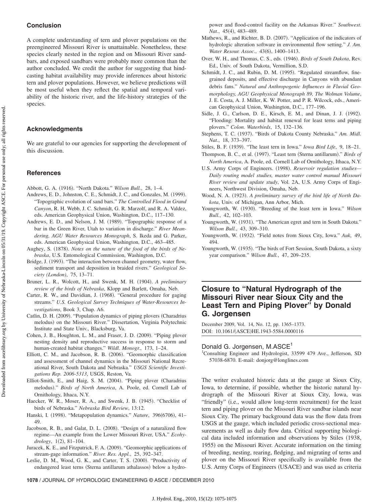#### **Conclusion**

A complete understanding of tern and plover populations on the preengineered Missouri River is unattainable. Nonetheless, these species clearly nested in the region and on Missouri River sandbars, and exposed sandbars were probably more common than the author concluded. We credit the author for suggesting that hindcasting habitat availability may provide inferences about historic tern and plover populations. However, we believe predictions will be most useful when they reflect the spatial and temporal variability of the historic river, and the life-history strategies of the species.

#### **Acknowledgments**

We are grateful to our agencies for supporting the development of this discussion.

#### **References**

- Abbott, G. A. (1916). "North Dakota." *Wilson Bull.*, 28, 1-4.
- Andrews, E. D., Johnston, C. E., Schmidt, J. C., and Gonzales, M. (1999). "Topographic evolution of sand bars." *The Controlled Flood in Grand Canyon*, R. H. Webb, J. C. Schmidt, G. R. Marzolf, and R. A. Valdez, eds. American Geophysical Union, Washington, D.C., 117–130.
- Andrews, E. D., and Nelson, J. M. (1989). "Topographic response of a bar in the Green River, Utah to variation in discharge." *River Meandering, AGU Water Resources Monograph*, S. Ikeda and G. Parker, eds. American Geophysical Union, Washington, D.C., 463–485.
- Aughey, S. (1878). Notes on the nature of the food of the birds of Ne*braska*, U.S. Entomological Commission, Washington, D.C.
- Bridge, J. (1993). "The interaction between channel geometry, water flow, sediment transport and deposition in braided rivers." *Geological Society (London)*, 75, 13–71.
- Bruner, L. R., Wolcott, H., and Swenk, M. H. (1904). A preliminary *review of the birds of Nebraska*, Klopp and Barlett, Omaha, Neb.
- Carter, R. W., and Davidian, J. (1968). "General procedure for gaging streams." *U.S. Geological Survey Techniques of Water-Resources Investigations*, Book 3, Chap. A6.
- Catlin, D. H. (2009). "Population dynamics of piping plovers (Charadrius melodus) on the Missouri River." Dissertation, Virginia Polytechnic Institute and State Univ., Blacksburg, Va.
- Cohen, J. B., Houghton, L. M., and Fraser, J. D. (2009). "Piping plover nesting density and reproductive success in response to storm and human-created habitat changes." *Wildl. Monogr.*, 173, 1–24.
- Elliott, C. M., and Jacobson, R. B. (2006). "Geomorphic classification and assessment of channel dynamics in the Missouri National Recreational River, South Dakota and Nebraska." *USGS Scientific Investigations Rep. 2006-5313*, USGS, Reston, Va.
- Elliot-Smith, E., and Haig, S. M. (2004). "Piping plover (Charadrius melodus)." Birds of North America, A. Poole, ed. Cornell Lab of Ornithology, Ithaca, N.Y.
- Haecker, W. R., Moser, R. A., and Swenk, J. B. (1945). "Checklist of birds of Nebraska." *Nebraska Bird Review*, 13:12.
- Hanski, I. (1998). "Metapopulation dynamics." *Nature*, 396(6706), 41-49.
- Jacobson, R. B., and Galat, D. L. (2008). "Design of a naturalized flow regime—An example from the Lower Missouri River, USA." *Ecohy*drology, 1(2), 81–104.
- Juracek, K. E., and Fitzpatrick, F. A. (2009). "Geomorphic applications of stream-gage information." *River. Res. Appl.*, 25, 392–347.
- Leslie, D. M., Wood, G. K., and Carter, T. S. (2000). "Productivity of endangered least terns (Sterna antillarum athalassos) below a hydro-

power and flood-control facility on the Arkansas River." *Southwest. Nat.,* 45(4), 483–489.

- Mathews, R., and Richter, B. D. (2007). "Application of the indicators of hydrologic alteration software in environmental flow setting." *J. Am.* Water Resour. Assoc., 43(6), 1400-1413.
- Over, W. H., and Thomas, C. S., eds. (1946). *Birds of South Dakota*, Rev. Ed., Univ. of South Dakota, Vermillion, S.D.
- Schmidt, J. C., and Rubin, D. M. (1995). "Regulated streamflow, finegrained deposits, and effective discharge in Canyons with abundant debris fans." *Natural and Anthropogenic Influences in Fluvial Geomorphology, AGU Geophysical Monograph 89, The Wolman Volume*, J. E. Costa, A. J. Miller, K. W. Potter, and P. R. Wilcock, eds., American Geophysical Union, Washington, D.C., 177–196.
- Sidle, J. G., Carlson, D. E., Kirsch, E. M., and Dinan, J. J. (1992). "Flooding: Mortality and habitat renewal for least terns and piping plovers." *Colon. Waterbirds*, 15, 132–136.
- Stephens, T. C. (1937). "Birds of Dakota County Nebraska." Am. Midl. *Nat.*, 18, 373–397.
- Stiles, B. F. (1939). "The least tern in Iowa." *Iowa Bird Life*, 9, 18–21.
- Thompson, B. C., et al. (1997). "Least tern (Sterna antillarum)." *Birds of North America*, A. Poole, ed. Cornell Lab of Ornithology, Ithaca, N.Y.
- U.S. Army Corps of Engineers. (1998). *Reservoir regulation studies*-*Daily routing model studies, master water control manual Missouri River review and update study*, Vol. 2A, U.S. Army Corps of Engineers, Northwest Division, Omaha, Neb.
- Wood, N. A. (1923). A preliminary survey of the bird life of North Da*kota*, Univ. of Michigan, Ann Arbor, Mich.
- Youngworth, W. (1930). "Breeding of the least tern in Iowa." Wilson *Bull.*, 42, 102–103.
- Youngworth, W. (1931). "The American egret and tern in South Dakota." *Wilson Bull.*, 43, 309–310.
- Youngworth, W. (1932). "Field notes from Sioux City, Iowa." Auk, 49, 494.
- Youngworth, W. (1935). "The birds of Fort Session, South Dakota, a sixty year comparison." *Wilson Bull.*, 47, 209–235.

## **Closure to "Natural Hydrograph of the Missouri River near Sioux City and the Least Tern and Piping Plover" by Donald G. Jorgensen**

December 2009, Vol. 14, No. 12, pp. 1365–1373. DOI: 10.1061/(ASCE)HE.1943-5584.0000116

#### Donald G. Jorgensen, M.ASCE<sup>1</sup>

The writer evaluated historic data at the gauge at Sioux City, Iowa, to determine, if possible, whether the historic natural hydrograph of the Missouri River at Sioux City, Iowa, was "friendly" (i.e., would allow long-term recruitment) for the least tern and piping plover on the Missouri River sandbar islands near Sioux City. The primary background data was the flow data from USGS at the gauge, which included periodic cross-sectional measurements as well as daily flow data. Critical supporting biological data included information and observations by Stiles (1938, 1955) on the Missouri River. Accurate information on the timing of breeding, nesting, rearing, fledging, and migrating of terns and plover on the Missouri River specifically is available from the U.S. Army Corps of Engineers (USACE) and was used as criteria

<sup>&</sup>lt;sup>1</sup>Consulting Engineer and Hydrologist, 33599 479 Ave., Jefferson, SD 57038-6870. E-mail: donjorg@longlines.com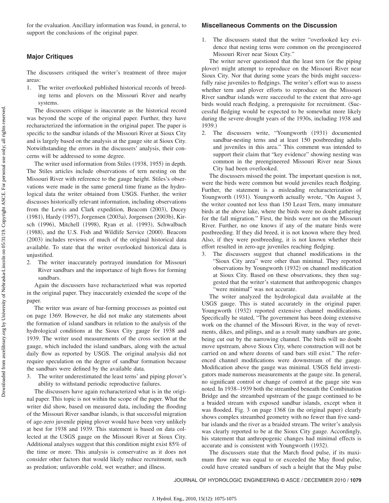for the evaluation. Ancillary information was found, in general, to support the conclusions of the original paper.

#### **Major Critiques**

The discussers critiqued the writer's treatment of three major areas:

1. The writer overlooked published historical records of breeding terns and plovers on the Missouri River and nearby systems.

The discussers critique is inaccurate as the historical record was beyond the scope of the original paper. Further, they have recharacterized the information in the original paper. The paper is specific to the sandbar islands of the Missouri River at Sioux City and is largely based on the analysis at the gauge site at Sioux City. Notwithstanding the errors in the discussers' analysis, their concerns will be addressed to some degree.

The writer used information from Stiles (1938, 1955) in depth. The Stiles articles include observations of tern nesting on the Missouri River with reference to the gauge height. Stiles's observations were made in the same general time frame as the hydrological data the writer obtained from USGS. Further, the writer discusses historically relevant information, including observations from the Lewis and Clark expedition, Beacom (2003), Ducey (1981), Hardy (1957), Jorgensen (2003a), Jorgensen (2003b), Kirsch (1996), Mitchell (1998), Ryan et al. (1993), Schwalbach (1988), and the U.S. Fish and Wildlife Service (2000). Beacom (2003) includes reviews of much of the original historical data available. To state that the writer overlooked historical data is unjustified.

2. The writer inaccurately portrayed inundation for Missouri River sandbars and the importance of high flows for forming sandbars.

Again the discussers have recharacterized what was reported in the original paper. They inaccurately extended the scope of the paper.

The writer was aware of bar-forming processes as pointed out on page 1369. However, he did not make any statements about the formation of island sandbars in relation to the analysis of the hydrological conditions at the Sioux City gauge for 1938 and 1939. The writer used measurements of the cross section at the gauge, which included the island sandbars, along with the actual daily flow as reported by USGS. The original analysis did not require speculation on the degree of sandbar formation because the sandbars were defined by the available data.

3. The writer underestimated the least terns' and piping plover's ability to withstand periodic reproductive failures.

The discussers have again recharacterized what is in the original paper. This topic is not within the scope of the paper. What the writer did show, based on measured data, including the flooding of the Missouri River sandbar islands, is that successful migration of age-zero juvenile piping plover would have been very unlikely at best for 1938 and 1939. This statement is based on data collected at the USGS gauge on the Missouri River at Sioux City. Additional analyses suggest that this condition might exist 85% of the time or more. This analysis is conservative as it does not consider other factors that would likely reduce recruitment, such as predation; unfavorable cold, wet weather; and illness.

#### **Miscellaneous Comments on the Discussion**

1. The discussers stated that the writer "overlooked key evidence that nesting terns were common on the preengineered Missouri River near Sioux City."

The writer never questioned that the least tern (or the piping plover) might attempt to reproduce on the Missouri River near Sioux City. Nor that during some years the birds might successfully raise juveniles to fledgings. The writer's effort was to assess whether tern and plover efforts to reproduce on the Missouri River sandbar islands were successful to the extent that zero-age birds would reach fledging, a prerequisite for recruitment. (Successful fledging would be expected to be somewhat more likely during the severe drought years of the 1930s, including 1938 and 1939.)

2. The discussers write, "Youngworth (1931) documented sandbar-nesting terns and at least 150 postbreeding adults and juveniles in this area." This comment was intended to support their claim that "key evidence" showing nesting was common in the preengineered Missouri River near Sioux City had been overlooked.

The discussers missed the point. The important question is not, were the birds were common but would juveniles reach fledging. Further, the statement is a misleading recharacterization of Youngworth (1931). Youngworth actually wrote, "On August 3, the writer counted not less than 150 Least Tern, many immature birds at the above lake, where the birds were no doubt gathering for the fall migration." First, the birds were not on the Missouri River. Further, no one knows if any of the mature birds were postbreeding. If they did breed, it is not known where they bred. Also, if they were postbreeding, it is not known whether their effort resulted in zero-age juveniles reaching fledging.

3. The discussers suggest that channel modifications in the "Sioux City area" were other than minimal. They reported observations by Youngworth (1932) on channel modification at Sioux City. Based on these observations, they then suggested that the writer's statement that anthropogenic changes "were minimal" was not accurate.

The writer analyzed the hydrological data available at the USGS gauge. This is stated accurately in the original paper. Youngworth (1932) reported extensive channel modifications. Specifically he stated, "The government has been doing extensive work on the channel of the Missouri River, in the way of revetments, dikes, and pilings, and as a result many sandbars are gone, being cut out by the narrowing channel. The birds will no doubt move upstream, above Sioux City, where construction will not be carried on and where dozens of sand bars still exist." The referenced channel modifications were downstream of the gauge. Modification above the gauge was minimal. USGS field investigators made numerous measurements at the gauge site. In general, no significant control or change of control at the gauge site was noted. In 1938–1939 both the streambed beneath the Combination Bridge and the streambed upstream of the gauge continued to be a braided stream with exposed sandbar islands, except when it was flooded. Fig. 3 on page 1368 (in the original paper) clearly shows complex streambed geometry with no fewer than five sandbar islands and the river as a braided stream. The writer's analysis was clearly reported to be at the Sioux City gauge. Accordingly, his statement that anthropogenic changes had minimal effects is accurate and is consistent with Youngworth (1932).

The discussers state that the March flood pulse, if its maximum flow rate was equal to or exceeded the May flood pulse, could have created sandbars of such a height that the May pulse

JOURNAL OF HYDROLOGIC ENGINEERING © ASCE / DECEMBER 2010 / **1079**